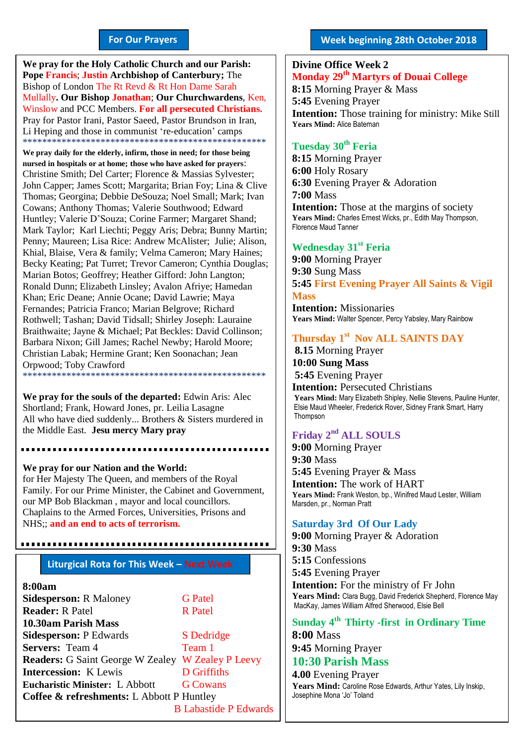#### **For Our Prayers**

arted Mullally**. Our Bishop Jonathan**; **Our Churchwardens**, Ken, **We pray for the Holy Catholic Church and our Parish: Pope Francis**; **Justin Archbishop of Canterbury;** The Bishop of London The Rt Revd & Rt Hon Dame Sarah Winslow and PCC Members. **For all persecuted Christians.** Pray for Pastor Irani, Pastor Saeed, Pastor Brundson in Iran, Li Heping and those in communist 're-education' camps \*\*\*\*\*\*\*\*\*\*\*\*\*\*\*\*\*\*\*\*\*\*\*\*\*\*\*\*\*\*\*\*\*\*\*\*\*\*\*\*\*\*\*\*\*\*\*\*\*\*

**We pray daily for the elderly, infirm, those in need; for those being nursed in hospitals or at home; those who have asked for prayers**: Christine Smith; Del Carter; Florence & Massias Sylvester; John Capper; James Scott; Margarita; Brian Foy; Lina & Clive Thomas; Georgina; Debbie DeSouza; Noel Small; Mark; Ivan Cowans; Anthony Thomas; Valerie Southwood; Edward Huntley; Valerie D'Souza; Corine Farmer; Margaret Shand; Mark Taylor; Karl Liechti; Peggy Aris; Debra; Bunny Martin; Penny; Maureen; Lisa Rice: Andrew McAlister; Julie; Alison, Khial, Blaise, Vera & family; Velma Cameron; Mary Haines; Becky Keating; Pat Turret; Trevor Cameron; Cynthia Douglas; Marian Botos; Geoffrey; Heather Gifford: John Langton; Ronald Dunn; Elizabeth Linsley; Avalon Afriye; Hamedan Khan; Eric Deane; Annie Ocane; David Lawrie; Maya Fernandes; Patricia Franco; Marian Belgrove; Richard Rothwell; Tashan; David Tidsall; Shirley Joseph: Lauraine Braithwaite; Jayne & Michael; Pat Beckles: David Collinson; Barbara Nixon; Gill James; Rachel Newby; Harold Moore; Christian Labak; Hermine Grant; Ken Soonachan; Jean Orpwood; Toby Crawford \*\*\*\*\*\*\*\*\*\*\*\*\*\*\*\*\*\*\*\*\*\*\*\*\*\*\*\*\*\*\*\*\*\*\*\*\*\*\*\*\*\*\*\*\*\*\*\*\*\*

**We pray for the souls of the departed:** Edwin Aris: Alec Shortland; Frank, Howard Jones, pr. Leilia Lasagne All who have died suddenly... Brothers & Sisters murdered in the Middle East. **Jesu mercy Mary pray**

**We pray for our Nation and the World:** for Her Majesty The Queen, and members of the Royal Family. For our Prime Minister, the Cabinet and Government, our MP Bob Blackman , mayor and local councillors. Chaplains to the Armed Forces, Universities, Prisons and NHS;; **and an end to acts of terrorism.**

#### **Liturgical Rota for This Week – Next Week**

#### **8:00am**

| <b>Sidesperson: R Maloney</b>                            | <b>G</b> Patel               |
|----------------------------------------------------------|------------------------------|
| <b>Reader: R Patel</b>                                   | <b>R</b> Patel               |
| 10.30am Parish Mass                                      |                              |
| <b>Sidesperson: P Edwards</b>                            | S Dedridge                   |
| <b>Servers:</b> Team 4                                   | Team 1                       |
| <b>Readers:</b> G Saint George W Zealey W Zealey P Leevy |                              |
| <b>Intercession:</b> K Lewis                             | <b>D</b> Griffiths           |
| <b>Eucharistic Minister: L Abbott</b>                    | <b>G</b> Cowans              |
| <b>Coffee &amp; refreshments:</b> L Abbott P Huntley     |                              |
|                                                          | <b>B Labastide P Edwards</b> |

#### **Week beginning 28th October 2018**

## **Divine Office Week 2 Monday 29th Martyrs of Douai College 8:15** Morning Prayer & Mass **5:45** Evening Prayer **Intention:** Those training for ministry: Mike Still **Years Mind:** Alice Bateman

# **Tuesday 30th Feria**

**8:15** Morning Prayer **6:00** Holy Rosary **6:30** Evening Prayer & Adoration **7:00** Mass **Intention:** Those at the margins of society Years Mind: Charles Ernest Wicks, pr., Edith May Thompson, Florence Maud Tanner

### **Wednesday 31st Feria**

**9:00** Morning Prayer **9:30** Sung Mass **5:45 First Evening Prayer All Saints & Vigil Mass Intention:** Missionaries

**Years Mind:** Walter Spencer, Percy Yabsley, Mary Rainbow

# **Thursday 1 st Nov ALL SAINTS DAY**

**8.15** Morning Prayer **10:00 Sung Mass 5:45** Evening Prayer **Intention:** Persecuted Christians **Years Mind:** Mary Elizabeth Shipley, Nellie Stevens, Pauline Hunter, Elsie Maud Wheeler, Frederick Rover, Sidney Frank Smart, Harry **Thompson** 

# **Friday 2 nd ALL SOULS**

**9:00** Morning Prayer **9:30** Mass **5:45** Evening Prayer & Mass **Intention:** The work of HART **Years Mind:** Frank Weston, bp., Winifred Maud Lester, William Marsden, pr., Norman Pratt

#### **Saturday 3rd Of Our Lady**

**9:00** Morning Prayer & Adoration **9:30** Mass **5:15** Confessions **5:45** Evening Prayer **Intention:** For the ministry of Fr John **Years Mind:** Clara Bugg, David Frederick Shepherd, Florence May MacKay, James William Alfred Sherwood, Elsie Bell

# **Sunday 4 th Thirty -first in Ordinary Time 8:00** Mass

**9:45** Morning Prayer

# **10:30 Parish Mass**

**4.00** Evening Prayer **Years Mind:** Caroline Rose Edwards, Arthur Yates, Lily Inskip, Josephine Mona 'Jo' Toland